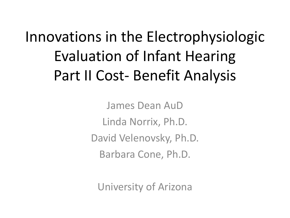Innovations in the Electrophysiologic Evaluation of Infant Hearing Part II Cost- Benefit Analysis

> James Dean AuD Linda Norrix, Ph.D. David Velenovsky, Ph.D. Barbara Cone, Ph.D.

University of Arizona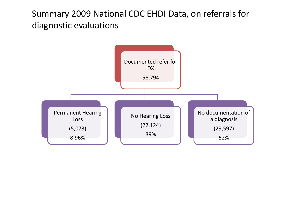#### Summary 2009 National CDC EHDI Data, on referrals for diagnostic evaluations

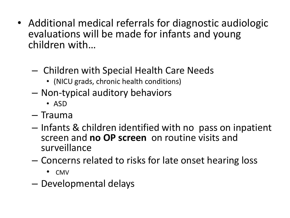- Additional medical referrals for diagnostic audiologic evaluations will be made for infants and young children with…
	- Children with Special Health Care Needs
		- (NICU grads, chronic health conditions)
	- Non-typical auditory behaviors
		- ASD
	- Trauma
	- Infants & children identified with no pass on inpatient screen and **no OP screen** on routine visits and surveillance
	- Concerns related to risks for late onset hearing loss
		- CMV
	- Developmental delays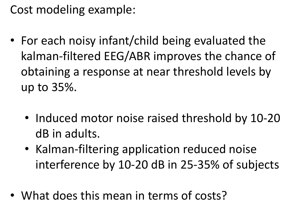Cost modeling example:

- For each noisy infant/child being evaluated the kalman-filtered EEG/ABR improves the chance of obtaining a response at near threshold levels by up to 35%.
	- Induced motor noise raised threshold by 10-20 dB in adults.
	- Kalman-filtering application reduced noise interference by 10-20 dB in 25-35% of subjects
- What does this mean in terms of costs?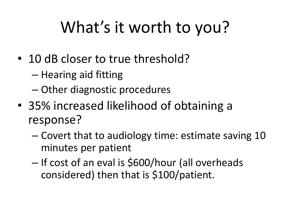# What's it worth to you?

- 10 dB closer to true threshold?
	- Hearing aid fitting
	- Other diagnostic procedures
- 35% increased likelihood of obtaining a response?
	- Covert that to audiology time: estimate saving 10 minutes per patient
	- If cost of an eval is \$600/hour (all overheads considered) then that is \$100/patient.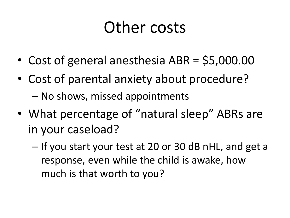## Other costs

- Cost of general anesthesia ABR = \$5,000.00
- Cost of parental anxiety about procedure? – No shows, missed appointments
- What percentage of "natural sleep" ABRs are in your caseload?
	- If you start your test at 20 or 30 dB nHL, and get a response, even while the child is awake, how much is that worth to you?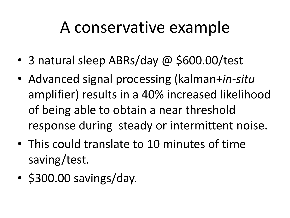## A conservative example

- 3 natural sleep ABRs/day @ \$600.00/test
- Advanced signal processing (kalman+*in-situ* amplifier) results in a 40% increased likelihood of being able to obtain a near threshold response during steady or intermittent noise.
- This could translate to 10 minutes of time saving/test.
- \$300.00 savings/day.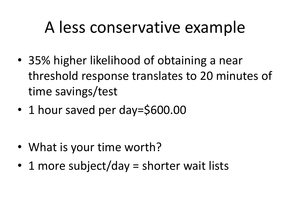## A less conservative example

- 35% higher likelihood of obtaining a near threshold response translates to 20 minutes of time savings/test
- 1 hour saved per day=\$600.00

- What is your time worth?
- 1 more subject/day = shorter wait lists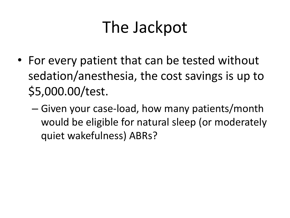## The Jackpot

- For every patient that can be tested without sedation/anesthesia, the cost savings is up to \$5,000.00/test.
	- Given your case-load, how many patients/month would be eligible for natural sleep (or moderately quiet wakefulness) ABRs?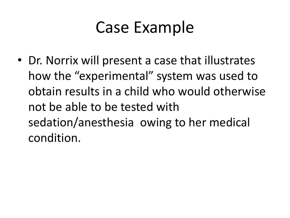## Case Example

• Dr. Norrix will present a case that illustrates how the "experimental" system was used to obtain results in a child who would otherwise not be able to be tested with sedation/anesthesia owing to her medical condition.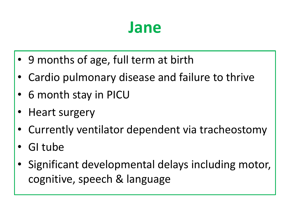### **Jane**

- 9 months of age, full term at birth
- Cardio pulmonary disease and failure to thrive
- 6 month stay in PICU
- Heart surgery
- Currently ventilator dependent via tracheostomy
- GI tube
- Significant developmental delays including motor, cognitive, speech & language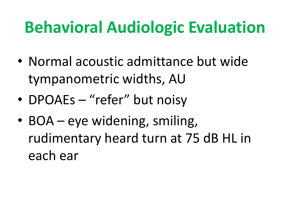## **Behavioral Audiologic Evaluation**

- Normal acoustic admittance but wide tympanometric widths, AU
- DPOAEs "refer" but noisy
- BOA eye widening, smiling, rudimentary heard turn at 75 dB HL in each ear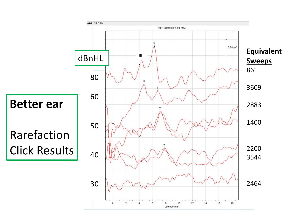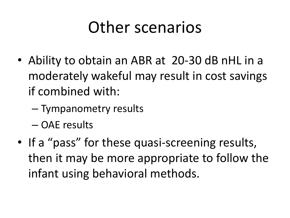## Other scenarios

- Ability to obtain an ABR at 20-30 dB nHL in a moderately wakeful may result in cost savings if combined with:
	- Tympanometry results
	- OAE results
- If a "pass" for these quasi-screening results, then it may be more appropriate to follow the infant using behavioral methods.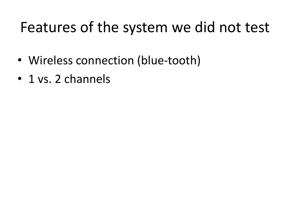### Features of the system we did not test

- Wireless connection (blue-tooth)
- 1 vs. 2 channels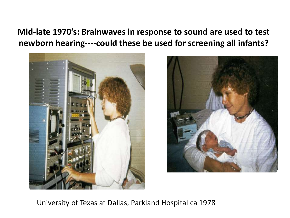**Mid-late 1970's: Brainwaves in response to sound are used to test newborn hearing----could these be used for screening all infants?**





University of Texas at Dallas, Parkland Hospital ca 1978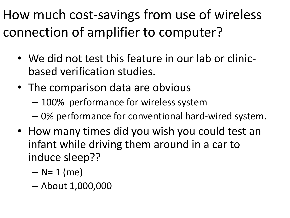How much cost-savings from use of wireless connection of amplifier to computer?

- We did not test this feature in our lab or clinicbased verification studies.
- The comparison data are obvious
	- 100% performance for wireless system
	- 0% performance for conventional hard-wired system.
- How many times did you wish you could test an infant while driving them around in a car to induce sleep??
	- $-$  N= 1 (me)
	- About 1,000,000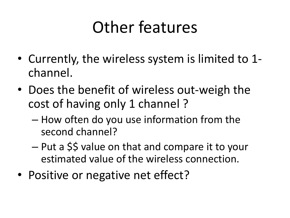## Other features

- Currently, the wireless system is limited to 1 channel.
- Does the benefit of wireless out-weigh the cost of having only 1 channel ?
	- How often do you use information from the second channel?
	- Put a \$\$ value on that and compare it to your estimated value of the wireless connection.
- Positive or negative net effect?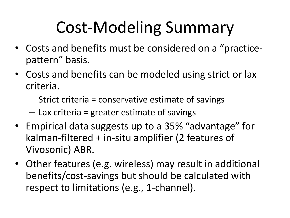## Cost-Modeling Summary

- Costs and benefits must be considered on a "practicepattern" basis.
- Costs and benefits can be modeled using strict or lax criteria.
	- Strict criteria = conservative estimate of savings
	- Lax criteria = greater estimate of savings
- Empirical data suggests up to a 35% "advantage" for kalman-filtered + in-situ amplifier (2 features of Vivosonic) ABR.
- Other features (e.g. wireless) may result in additional benefits/cost-savings but should be calculated with respect to limitations (e.g., 1-channel).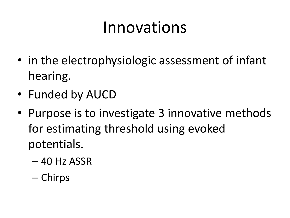## Innovations

- in the electrophysiologic assessment of infant hearing.
- Funded by AUCD
- Purpose is to investigate 3 innovative methods for estimating threshold using evoked potentials.
	- 40 Hz ASSR
	- Chirps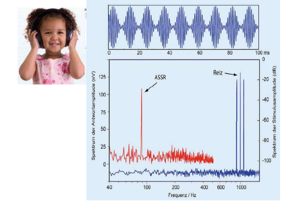



Spektrum der Antwortamplitude (nV)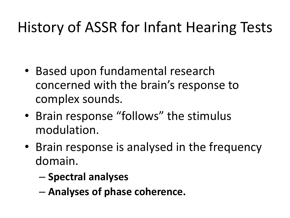## History of ASSR for Infant Hearing Tests

- Based upon fundamental research concerned with the brain's response to complex sounds.
- Brain response "follows" the stimulus modulation.
- Brain response is analysed in the frequency domain.
	- **Spectral analyses**
	- **Analyses of phase coherence.**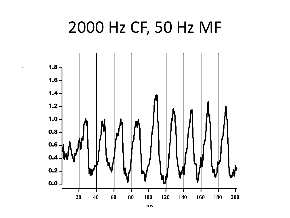### 2000 Hz CF, 50 Hz MF

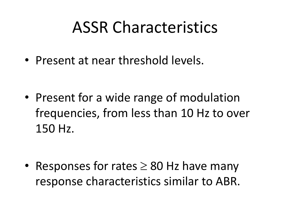## ASSR Characteristics

• Present at near threshold levels.

• Present for a wide range of modulation frequencies, from less than 10 Hz to over 150 Hz.

• Responses for rates  $\geq 80$  Hz have many response characteristics similar to ABR.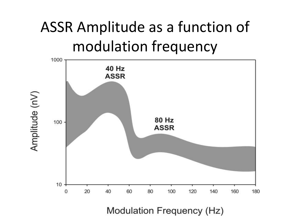## ASSR Amplitude as a function of modulation frequency

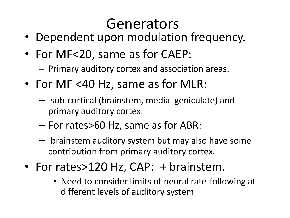## Generators

- Dependent upon modulation frequency.
- For MF<20, same as for CAEP:

– Primary auditory cortex and association areas.

- For MF <40 Hz, same as for MLR:
	- sub-cortical (brainstem, medial geniculate) and primary auditory cortex.
	- For rates>60 Hz, same as for ABR:
	- brainstem auditory system but may also have some contribution from primary auditory cortex.
- For rates>120 Hz, CAP: + brainstem.
	- Need to consider limits of neural rate-following at different levels of auditory system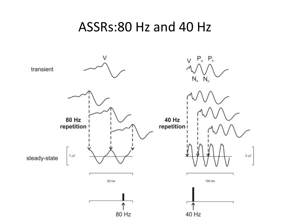#### ASSRs:80 Hz and 40 Hz

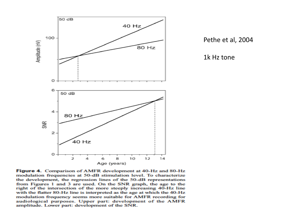

Pethe et al, 2004

1k Hz tone

Figure 4. Comparison of AMFR development at 40-Hz and 80-Hz modulation frequencies at 50-dB stimulation level. To characterize the development, the regression lines of the 50-dB representations from Figures 1 and 3 are used. On the SNR graph, the age to the right of the intersection of the more steeply increasing 40-Hz line with the flatter 80-Hz line is interpreted as the age at which the 40-Hz modulation frequency seems more suitable for AMFR recording for audiological purposes. Upper part: development of the AMFR amplitude. Lower part: development of the SNR.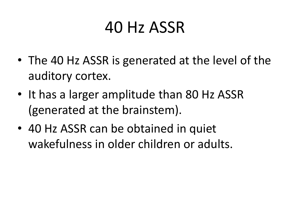- The 40 Hz ASSR is generated at the level of the auditory cortex.
- It has a larger amplitude than 80 Hz ASSR (generated at the brainstem).
- 40 Hz ASSR can be obtained in quiet wakefulness in older children or adults.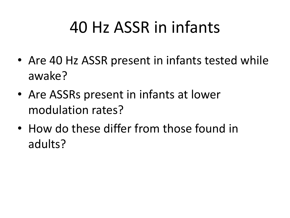## 40 Hz ASSR in infants

- Are 40 Hz ASSR present in infants tested while awake?
- Are ASSRs present in infants at lower modulation rates?
- How do these differ from those found in adults?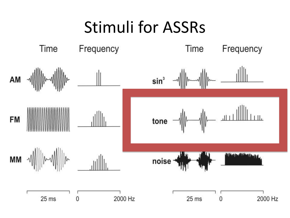## Stimuli for ASSRs

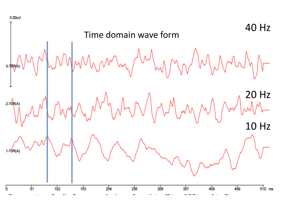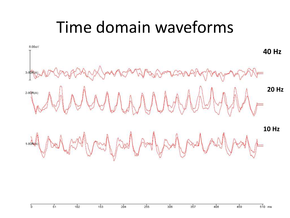### Time domain waveforms

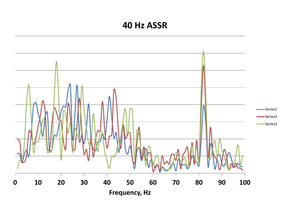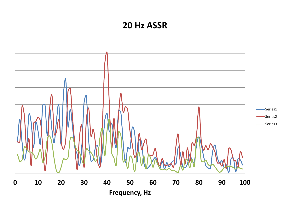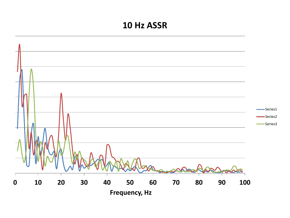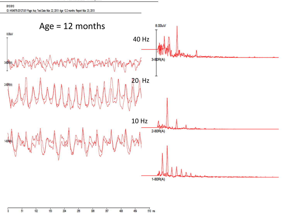#### B10 B10 ID: IHS4876-20127U01 Page: Acq Test Date: Mar. 22, 2013 Age: 12.2 months Report: Mar. 23, 2013



 $\frac{1}{510}$  ms 102 153 204  $255$ 306 357 408 459 Ò 51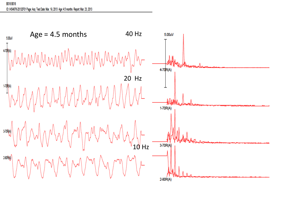